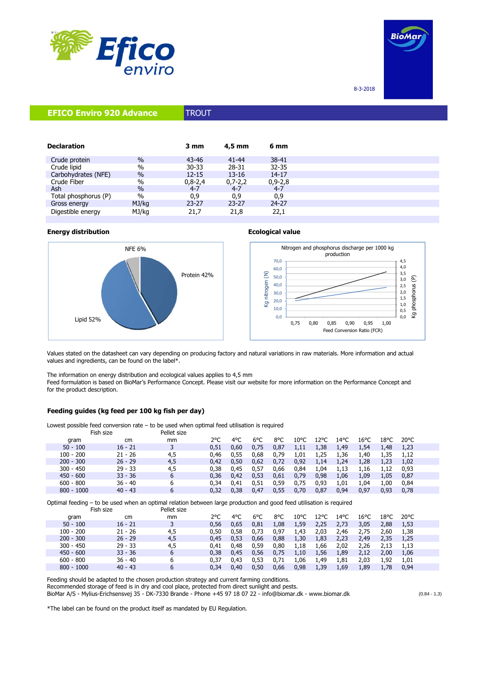



8-3-2018

# **EFICO Enviro 920 Advance TROUT**

| <b>Declaration</b>   |               | 3 mm      | $4.5$ mm  | 6 mm      |
|----------------------|---------------|-----------|-----------|-----------|
| Crude protein        | $\frac{0}{0}$ | $43 - 46$ | $41 - 44$ | 38-41     |
| Crude lipid          | $\%$          | $30 - 33$ | 28-31     | $32 - 35$ |
| Carbohydrates (NFE)  | $\%$          | $12 - 15$ | $13 - 16$ | 14-17     |
| Crude Fiber          | $\%$          | $0,8-2,4$ | $0,7-2,2$ | $0,9-2,8$ |
| Ash                  | $\frac{0}{0}$ | $4 - 7$   | $4 - 7$   | $4 - 7$   |
| Total phosphorus (P) | $\%$          | 0,9       | 0,9       | 0,9       |
| Gross energy         | MJ/kg         | $23 - 27$ | $23 - 27$ | $24 - 27$ |
| Digestible energy    | MJ/kg         | 21,7      | 21,8      | 22,1      |

# **Energy distribution Ecological value**





Values stated on the datasheet can vary depending on producing factory and natural variations in raw materials. More information and actual values and ingredients, can be found on the label\*.

The information on energy distribution and ecological values applies to 4,5 mm

Feed formulation is based on BioMar's Performance Concept. Please visit our website for more information on the Performance Concept and for the product description.

## **Feeding guides (kg feed per 100 kg fish per day)**

Lowest possible feed conversion rate – to be used when optimal feed utilisation is required Pellet size Fish size

| שמה והו      |           | שונג שובע |      |               |      |      |                |                |                |      |      |                |  |
|--------------|-----------|-----------|------|---------------|------|------|----------------|----------------|----------------|------|------|----------------|--|
| aram         | cm        | mm        | 2°C  | $4^{\circ}$ C | 6°C  | 8°C  | $10^{\circ}$ C | $12^{\circ}$ C | $14^{\circ}$ C | 16°C | 18°C | $20^{\circ}$ C |  |
| $50 - 100$   | $16 - 21$ |           | 0.51 | 0.60          | 0.75 | 0,87 | 1,11           | 1,38           | 1,49           | 1,54 | 1.48 | 1,23           |  |
| $100 - 200$  | $21 - 26$ | 4,5       | 0.46 | 0.55          | 0.68 | 0.79 | 1,01           | 1,25           | 1,36           | 1,40 | 1,35 | 1,12           |  |
| $200 - 300$  | $26 - 29$ | 4,5       | 0.42 | 0.50          | 0,62 | 0,72 | 0,92           | 1,14           | 1,24           | 1,28 | 1,23 | 1,02           |  |
| $300 - 450$  | $29 - 33$ | 4,5       | 0.38 | 0.45          | 0.57 | 0.66 | 0,84           | 1,04           | 1,13           | 1,16 | 1.12 | 0.93           |  |
| $450 - 600$  | $33 - 36$ | b         | 0.36 | 0.42          | 0.53 | 0,61 | 0,79           | 0,98           | 1,06           | 1,09 | 1.05 | 0,87           |  |
| $600 - 800$  | $36 - 40$ |           | 0.34 | 0.41          | 0.51 | 0,59 | 0.75           | 0,93           | 1,01           | 1,04 | 1.00 | 0,84           |  |
| $800 - 1000$ | $40 - 43$ |           | 0.32 | 0.38          | 0.47 | 0.55 | 0.70           | 0.87           | 0.94           | 0.97 | 0.93 | 0.78           |  |
|              |           |           |      |               |      |      |                |                |                |      |      |                |  |

Optimal feeding – to be used when an optimal relation between large production and good feed utilisation is required

| Fish size    |           | Pellet size |               |      |      |      |      |      |      |      |      |                |  |
|--------------|-----------|-------------|---------------|------|------|------|------|------|------|------|------|----------------|--|
| gram         | cm        | mm          | $2^{\circ}$ C | 4°C  | 6°C  | 8°C  | 10°C | 12°C | 14°C | 16°C | 18°C | $20^{\circ}$ C |  |
| $50 - 100$   | $16 - 21$ |             | 0.56          | 0,65 | 0,81 | 1,08 | 1,59 | 2,25 | 2,73 | 3,05 | 2,88 | 1,53           |  |
| $100 - 200$  | $21 - 26$ | 4,5         | 0.50          | 0.58 | 0.73 | 0,97 | 1,43 | 2,03 | 2,46 | 2,75 | 2,60 | 1,38           |  |
| $200 - 300$  | $26 - 29$ | 4,5         | 0.45          | 0.53 | 0,66 | 0,88 | 1,30 | 1,83 | 2,23 | 2,49 | 2,35 | 1,25           |  |
| $300 - 450$  | $29 - 33$ | 4,5         | 0.41          | 0.48 | 0,59 | 0,80 | 1,18 | 1,66 | 2,02 | 2,26 | 2,13 | 1,13           |  |
| $450 - 600$  | $33 - 36$ | 6           | 0.38          | 0.45 | 0.56 | 0.75 | 1,10 | 1,56 | 1,89 | 2,12 | 2,00 | 1,06           |  |
| $600 - 800$  | $36 - 40$ | 6           | 0.37          | 0.43 | 0.53 | 0,71 | 1,06 | 1,49 | 1,81 | 2,03 | 1.92 | 1,01           |  |
| $800 - 1000$ | $40 - 43$ | 6           | 0.34          | 0.40 | 0,50 | 0,66 | 0,98 | 1,39 | 1,69 | 1,89 | 1,78 | 0,94           |  |
|              |           |             |               |      |      |      |      |      |      |      |      |                |  |

Feeding should be adapted to the chosen production strategy and current farming conditions. Recommended storage of feed is in dry and cool place, protected from direct sunlight and pests. BioMar A/S - Mylius-Erichsensvej 35 - DK-7330 Brande - Phone +45 97 18 07 22 - info@biomar.dk - www.biomar.dk (0,84 - 1,3)

\*The label can be found on the product itself as mandated by EU Regulation.